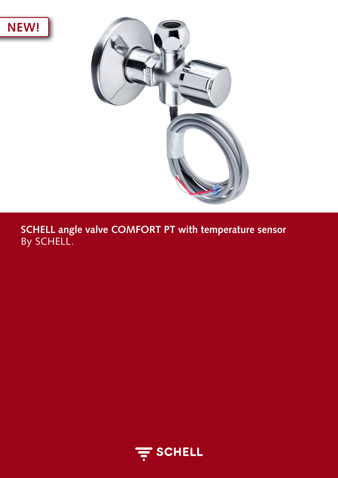



**SCHELL angle valve COMFORT PT with temperature sensor** By SCHELL.